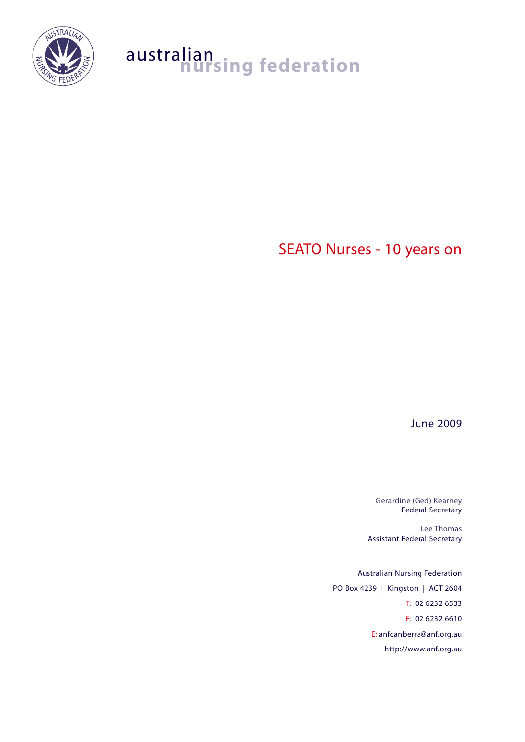

# australian<br>**nursing federation**

# SEATO Nurses - 10 years on

June 2009

Gerardine (Ged) Kearney Federal Secretary

Lee Thomas Assistant Federal Secretary

Australian Nursing Federation PO Box 4239 | Kingston | ACT 2604 T: 02 6232 6533 F: 02 6232 6610 E: anfcanberra@anf.org.au http://www.anf.org.au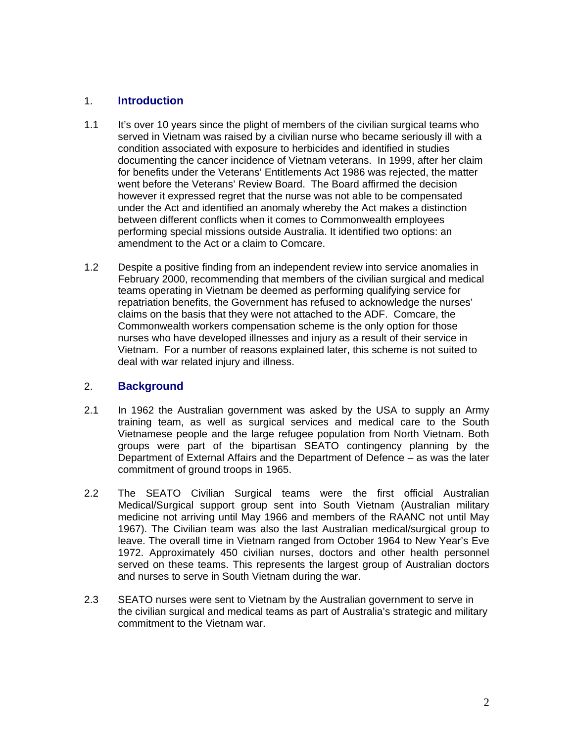#### 1. **Introduction**

- 1.1 It's over 10 years since the plight of members of the civilian surgical teams who served in Vietnam was raised by a civilian nurse who became seriously ill with a condition associated with exposure to herbicides and identified in studies documenting the cancer incidence of Vietnam veterans. In 1999, after her claim for benefits under the Veterans' Entitlements Act 1986 was rejected, the matter went before the Veterans' Review Board. The Board affirmed the decision however it expressed regret that the nurse was not able to be compensated under the Act and identified an anomaly whereby the Act makes a distinction between different conflicts when it comes to Commonwealth employees performing special missions outside Australia. It identified two options: an amendment to the Act or a claim to Comcare.
- 1.2 Despite a positive finding from an independent review into service anomalies in February 2000, recommending that members of the civilian surgical and medical teams operating in Vietnam be deemed as performing qualifying service for repatriation benefits, the Government has refused to acknowledge the nurses' claims on the basis that they were not attached to the ADF. Comcare, the Commonwealth workers compensation scheme is the only option for those nurses who have developed illnesses and injury as a result of their service in Vietnam. For a number of reasons explained later, this scheme is not suited to deal with war related injury and illness.

#### 2. **Background**

- 2.1 In 1962 the Australian government was asked by the USA to supply an Army training team, as well as surgical services and medical care to the South Vietnamese people and the large refugee population from North Vietnam. Both groups were part of the bipartisan SEATO contingency planning by the Department of External Affairs and the Department of Defence – as was the later commitment of ground troops in 1965.
- 2.2 The SEATO Civilian Surgical teams were the first official Australian Medical/Surgical support group sent into South Vietnam (Australian military medicine not arriving until May 1966 and members of the RAANC not until May 1967). The Civilian team was also the last Australian medical/surgical group to leave. The overall time in Vietnam ranged from October 1964 to New Year's Eve 1972. Approximately 450 civilian nurses, doctors and other health personnel served on these teams. This represents the largest group of Australian doctors and nurses to serve in South Vietnam during the war.
- 2.3 SEATO nurses were sent to Vietnam by the Australian government to serve in the civilian surgical and medical teams as part of Australia's strategic and military commitment to the Vietnam war.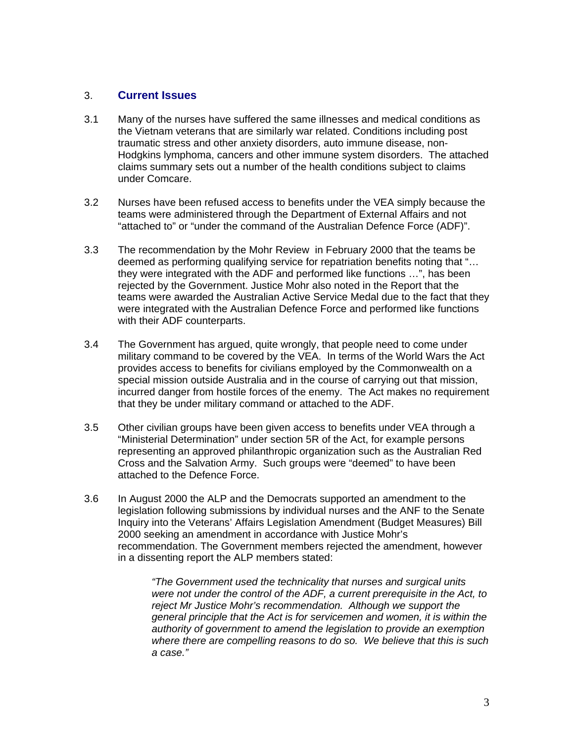#### 3. **Current Issues**

- 3.1 Many of the nurses have suffered the same illnesses and medical conditions as the Vietnam veterans that are similarly war related. Conditions including post traumatic stress and other anxiety disorders, auto immune disease, non-Hodgkins lymphoma, cancers and other immune system disorders. The attached claims summary sets out a number of the health conditions subject to claims under Comcare.
- 3.2 Nurses have been refused access to benefits under the VEA simply because the teams were administered through the Department of External Affairs and not "attached to" or "under the command of the Australian Defence Force (ADF)".
- 3.3 The recommendation by the Mohr Review in February 2000 that the teams be deemed as performing qualifying service for repatriation benefits noting that "… they were integrated with the ADF and performed like functions …", has been rejected by the Government. Justice Mohr also noted in the Report that the teams were awarded the Australian Active Service Medal due to the fact that they were integrated with the Australian Defence Force and performed like functions with their ADF counterparts.
- 3.4 The Government has argued, quite wrongly, that people need to come under military command to be covered by the VEA. In terms of the World Wars the Act provides access to benefits for civilians employed by the Commonwealth on a special mission outside Australia and in the course of carrying out that mission, incurred danger from hostile forces of the enemy. The Act makes no requirement that they be under military command or attached to the ADF.
- 3.5 Other civilian groups have been given access to benefits under VEA through a "Ministerial Determination" under section 5R of the Act, for example persons representing an approved philanthropic organization such as the Australian Red Cross and the Salvation Army. Such groups were "deemed" to have been attached to the Defence Force.
- 3.6 In August 2000 the ALP and the Democrats supported an amendment to the legislation following submissions by individual nurses and the ANF to the Senate Inquiry into the Veterans' Affairs Legislation Amendment (Budget Measures) Bill 2000 seeking an amendment in accordance with Justice Mohr's recommendation. The Government members rejected the amendment, however in a dissenting report the ALP members stated:

*"The Government used the technicality that nurses and surgical units were not under the control of the ADF, a current prerequisite in the Act, to reject Mr Justice Mohr's recommendation. Although we support the general principle that the Act is for servicemen and women, it is within the authority of government to amend the legislation to provide an exemption where there are compelling reasons to do so. We believe that this is such a case."*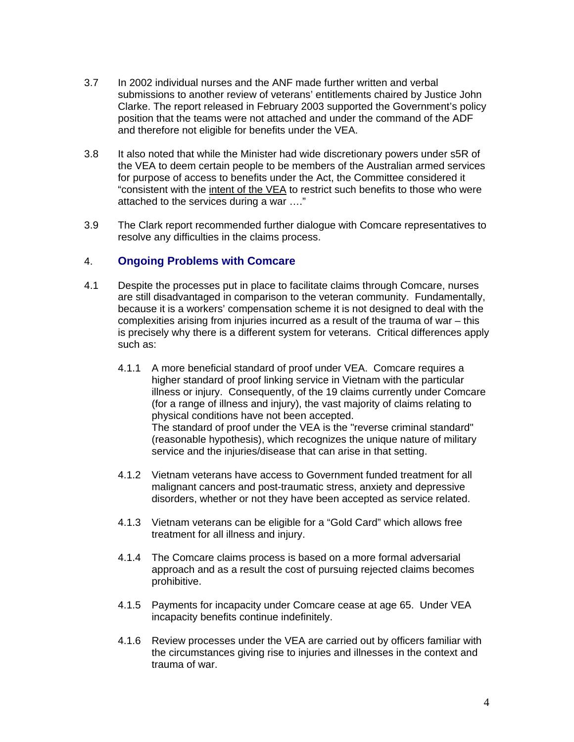- 3.7 In 2002 individual nurses and the ANF made further written and verbal submissions to another review of veterans' entitlements chaired by Justice John Clarke. The report released in February 2003 supported the Government's policy position that the teams were not attached and under the command of the ADF and therefore not eligible for benefits under the VEA.
- 3.8 It also noted that while the Minister had wide discretionary powers under s5R of the VEA to deem certain people to be members of the Australian armed services for purpose of access to benefits under the Act, the Committee considered it "consistent with the intent of the VEA to restrict such benefits to those who were attached to the services during a war …."
- 3.9 The Clark report recommended further dialogue with Comcare representatives to resolve any difficulties in the claims process.

#### 4. **Ongoing Problems with Comcare**

- 4.1 Despite the processes put in place to facilitate claims through Comcare, nurses are still disadvantaged in comparison to the veteran community. Fundamentally, because it is a workers' compensation scheme it is not designed to deal with the complexities arising from injuries incurred as a result of the trauma of war – this is precisely why there is a different system for veterans. Critical differences apply such as:
	- 4.1.1 A more beneficial standard of proof under VEA. Comcare requires a higher standard of proof linking service in Vietnam with the particular illness or injury. Consequently, of the 19 claims currently under Comcare (for a range of illness and injury), the vast majority of claims relating to physical conditions have not been accepted. The standard of proof under the VEA is the "reverse criminal standard" (reasonable hypothesis), which recognizes the unique nature of military service and the injuries/disease that can arise in that setting.
	- 4.1.2 Vietnam veterans have access to Government funded treatment for all malignant cancers and post-traumatic stress, anxiety and depressive disorders, whether or not they have been accepted as service related.
	- 4.1.3 Vietnam veterans can be eligible for a "Gold Card" which allows free treatment for all illness and injury.
	- 4.1.4 The Comcare claims process is based on a more formal adversarial approach and as a result the cost of pursuing rejected claims becomes prohibitive.
	- 4.1.5 Payments for incapacity under Comcare cease at age 65. Under VEA incapacity benefits continue indefinitely.
	- 4.1.6 Review processes under the VEA are carried out by officers familiar with the circumstances giving rise to injuries and illnesses in the context and trauma of war.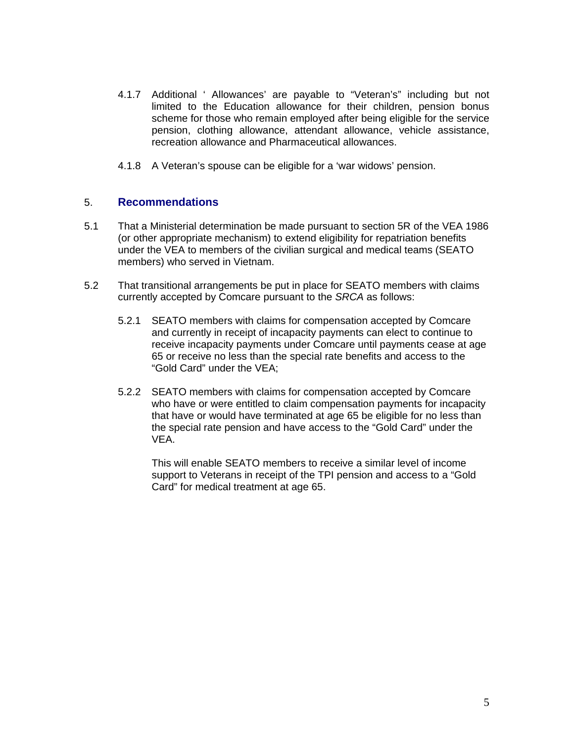- 4.1.7 Additional ' Allowances' are payable to "Veteran's" including but not limited to the Education allowance for their children, pension bonus scheme for those who remain employed after being eligible for the service pension, clothing allowance, attendant allowance, vehicle assistance, recreation allowance and Pharmaceutical allowances.
- 4.1.8 A Veteran's spouse can be eligible for a 'war widows' pension.

#### 5. **Recommendations**

- 5.1 That a Ministerial determination be made pursuant to section 5R of the VEA 1986 (or other appropriate mechanism) to extend eligibility for repatriation benefits under the VEA to members of the civilian surgical and medical teams (SEATO members) who served in Vietnam.
- 5.2 That transitional arrangements be put in place for SEATO members with claims currently accepted by Comcare pursuant to the *SRCA* as follows:
	- 5.2.1 SEATO members with claims for compensation accepted by Comcare and currently in receipt of incapacity payments can elect to continue to receive incapacity payments under Comcare until payments cease at age 65 or receive no less than the special rate benefits and access to the "Gold Card" under the VEA;
	- 5.2.2 SEATO members with claims for compensation accepted by Comcare who have or were entitled to claim compensation payments for incapacity that have or would have terminated at age 65 be eligible for no less than the special rate pension and have access to the "Gold Card" under the VEA.

This will enable SEATO members to receive a similar level of income support to Veterans in receipt of the TPI pension and access to a "Gold Card" for medical treatment at age 65.